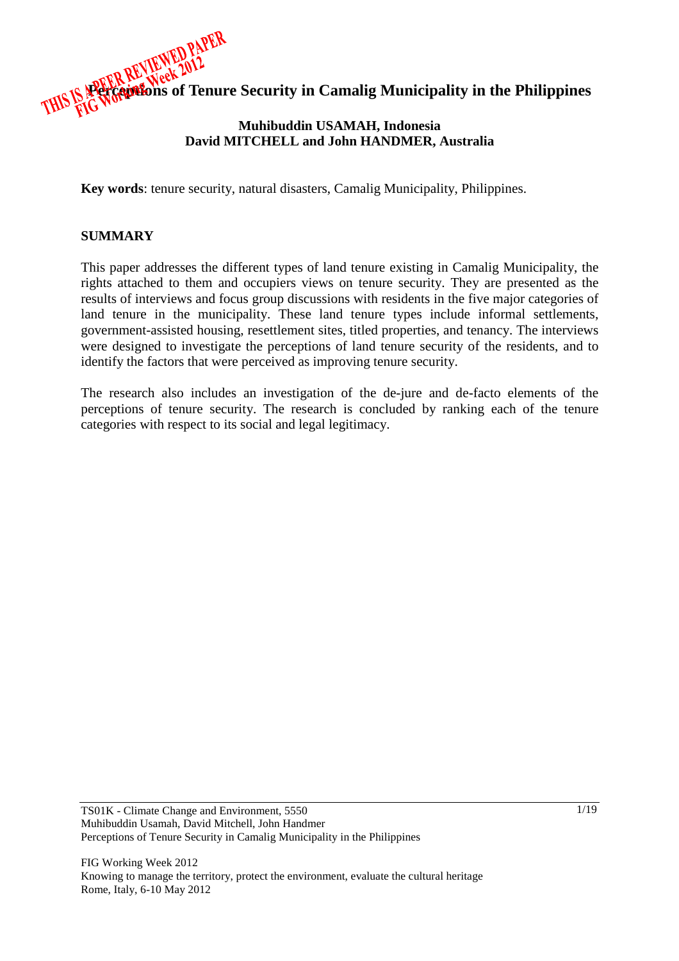

# **Muhibuddin USAMAH, Indonesia David MITCHELL and John HANDMER, Australia**

**Key words**: tenure security, natural disasters, Camalig Municipality, Philippines.

#### **SUMMARY**

This paper addresses the different types of land tenure existing in Camalig Municipality, the rights attached to them and occupiers views on tenure security. They are presented as the results of interviews and focus group discussions with residents in the five major categories of land tenure in the municipality. These land tenure types include informal settlements, government-assisted housing, resettlement sites, titled properties, and tenancy. The interviews were designed to investigate the perceptions of land tenure security of the residents, and to identify the factors that were perceived as improving tenure security.

The research also includes an investigation of the de-jure and de-facto elements of the perceptions of tenure security. The research is concluded by ranking each of the tenure categories with respect to its social and legal legitimacy.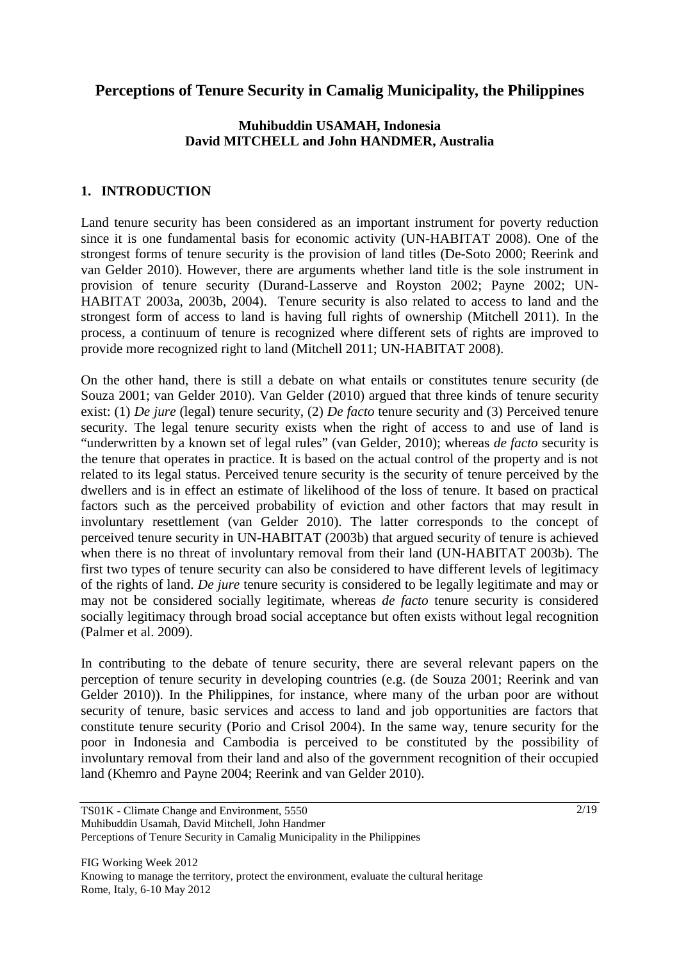# **Perceptions of Tenure Security in Camalig Municipality, the Philippines**

# **Muhibuddin USAMAH, Indonesia David MITCHELL and John HANDMER, Australia**

### **1. INTRODUCTION**

Land tenure security has been considered as an important instrument for poverty reduction since it is one fundamental basis for economic activity (UN-HABITAT 2008). One of the strongest forms of tenure security is the provision of land titles (De-Soto 2000; Reerink and van Gelder 2010). However, there are arguments whether land title is the sole instrument in provision of tenure security (Durand-Lasserve and Royston 2002; Payne 2002; UN-HABITAT 2003a, 2003b, 2004). Tenure security is also related to access to land and the strongest form of access to land is having full rights of ownership (Mitchell 2011). In the process, a continuum of tenure is recognized where different sets of rights are improved to provide more recognized right to land (Mitchell 2011; UN-HABITAT 2008).

On the other hand, there is still a debate on what entails or constitutes tenure security (de Souza 2001; van Gelder 2010). Van Gelder (2010) argued that three kinds of tenure security exist: (1) *De jure* (legal) tenure security, (2) *De facto* tenure security and (3) Perceived tenure security. The legal tenure security exists when the right of access to and use of land is "underwritten by a known set of legal rules" (van Gelder, 2010); whereas *de facto* security is the tenure that operates in practice. It is based on the actual control of the property and is not related to its legal status. Perceived tenure security is the security of tenure perceived by the dwellers and is in effect an estimate of likelihood of the loss of tenure. It based on practical factors such as the perceived probability of eviction and other factors that may result in involuntary resettlement (van Gelder 2010). The latter corresponds to the concept of perceived tenure security in UN-HABITAT (2003b) that argued security of tenure is achieved when there is no threat of involuntary removal from their land (UN-HABITAT 2003b). The first two types of tenure security can also be considered to have different levels of legitimacy of the rights of land. *De jure* tenure security is considered to be legally legitimate and may or may not be considered socially legitimate, whereas *de facto* tenure security is considered socially legitimacy through broad social acceptance but often exists without legal recognition (Palmer et al. 2009).

In contributing to the debate of tenure security, there are several relevant papers on the perception of tenure security in developing countries (e.g. (de Souza 2001; Reerink and van Gelder 2010)). In the Philippines, for instance, where many of the urban poor are without security of tenure, basic services and access to land and job opportunities are factors that constitute tenure security (Porio and Crisol 2004). In the same way, tenure security for the poor in Indonesia and Cambodia is perceived to be constituted by the possibility of involuntary removal from their land and also of the government recognition of their occupied land (Khemro and Payne 2004; Reerink and van Gelder 2010).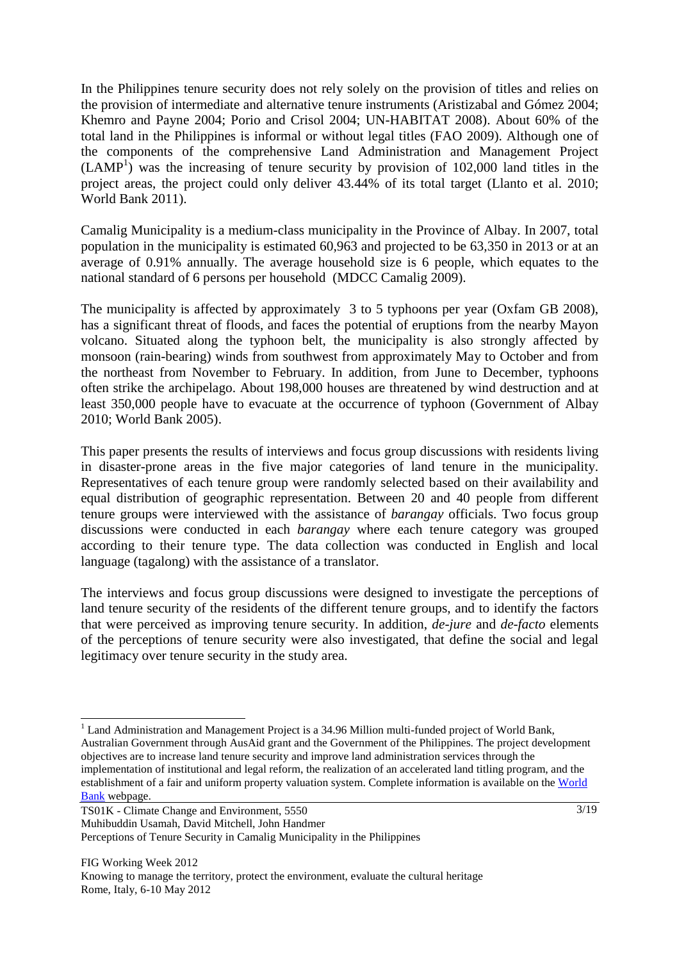In the Philippines tenure security does not rely solely on the provision of titles and relies on the provision of intermediate and alternative tenure instruments (Aristizabal and Gómez 2004; Khemro and Payne 2004; Porio and Crisol 2004; UN-HABITAT 2008). About 60% of the total land in the Philippines is informal or without legal titles (FAO 2009). Although one of the components of the comprehensive Land Administration and Management Project  $(LAMP<sup>1</sup>)$  was the increasing of tenure security by provision of 102,000 land titles in the project areas, the project could only deliver 43.44% of its total target (Llanto et al. 2010; World Bank 2011).

Camalig Municipality is a medium-class municipality in the Province of Albay. In 2007, total population in the municipality is estimated 60,963 and projected to be 63,350 in 2013 or at an average of 0.91% annually. The average household size is 6 people, which equates to the national standard of 6 persons per household (MDCC Camalig 2009).

The municipality is affected by approximately 3 to 5 typhoons per year (Oxfam GB 2008), has a significant threat of floods, and faces the potential of eruptions from the nearby Mayon volcano. Situated along the typhoon belt, the municipality is also strongly affected by monsoon (rain-bearing) winds from southwest from approximately May to October and from the northeast from November to February. In addition, from June to December, typhoons often strike the archipelago. About 198,000 houses are threatened by wind destruction and at least 350,000 people have to evacuate at the occurrence of typhoon (Government of Albay 2010; World Bank 2005).

This paper presents the results of interviews and focus group discussions with residents living in disaster-prone areas in the five major categories of land tenure in the municipality. Representatives of each tenure group were randomly selected based on their availability and equal distribution of geographic representation. Between 20 and 40 people from different tenure groups were interviewed with the assistance of *barangay* officials. Two focus group discussions were conducted in each *barangay* where each tenure category was grouped according to their tenure type. The data collection was conducted in English and local language (tagalong) with the assistance of a translator.

The interviews and focus group discussions were designed to investigate the perceptions of land tenure security of the residents of the different tenure groups, and to identify the factors that were perceived as improving tenure security. In addition, *de-jure* and *de-facto* elements of the perceptions of tenure security were also investigated, that define the social and legal legitimacy over tenure security in the study area.

 $\overline{a}$ <sup>1</sup> Land Administration and Management Project is a 34.96 Million multi-funded project of World Bank, Australian Government through AusAid grant and the Government of the Philippines. The project development objectives are to increase land tenure security and improve land administration services through the implementation of institutional and legal reform, the realization of an accelerated land titling program, and the establishment of a fair and uniform property valuation system. Complete information is available on the World Bank webpage.

TS01K - Climate Change and Environment, 5550 Muhibuddin Usamah, David Mitchell, John Handmer Perceptions of Tenure Security in Camalig Municipality in the Philippines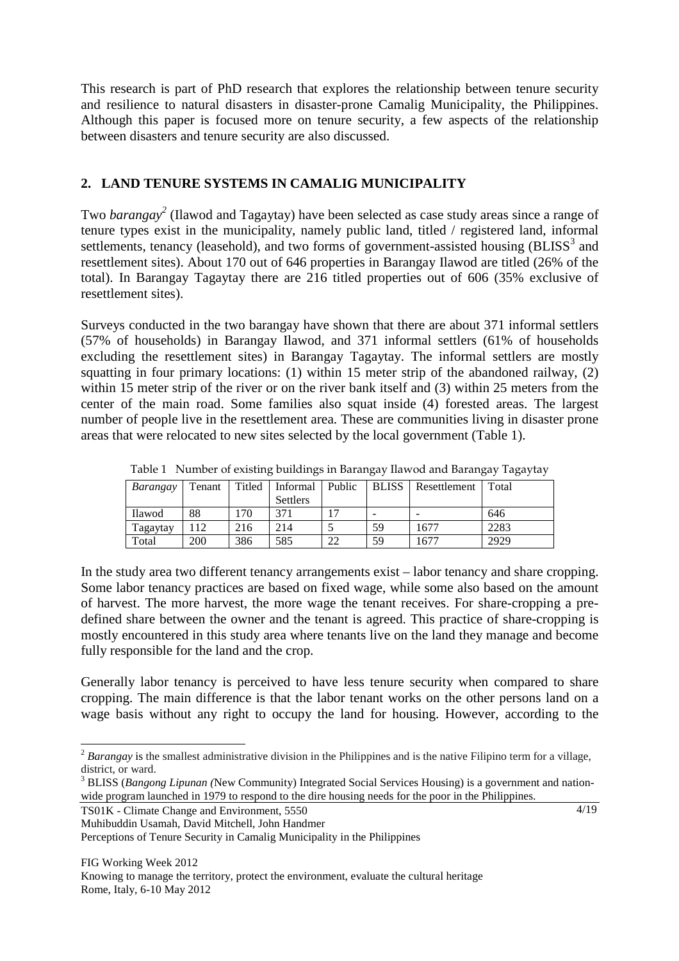This research is part of PhD research that explores the relationship between tenure security and resilience to natural disasters in disaster-prone Camalig Municipality, the Philippines. Although this paper is focused more on tenure security, a few aspects of the relationship between disasters and tenure security are also discussed.

# **2. LAND TENURE SYSTEMS IN CAMALIG MUNICIPALITY**

Two *barangay<sup>2</sup>* (Ilawod and Tagaytay) have been selected as case study areas since a range of tenure types exist in the municipality, namely public land, titled / registered land, informal settlements, tenancy (leasehold), and two forms of government-assisted housing  $(BLISS<sup>3</sup>$  and resettlement sites). About 170 out of 646 properties in Barangay Ilawod are titled (26% of the total). In Barangay Tagaytay there are 216 titled properties out of 606 (35% exclusive of resettlement sites).

Surveys conducted in the two barangay have shown that there are about 371 informal settlers (57% of households) in Barangay Ilawod, and 371 informal settlers (61% of households excluding the resettlement sites) in Barangay Tagaytay. The informal settlers are mostly squatting in four primary locations: (1) within 15 meter strip of the abandoned railway, (2) within 15 meter strip of the river or on the river bank itself and (3) within 25 meters from the center of the main road. Some families also squat inside (4) forested areas. The largest number of people live in the resettlement area. These are communities living in disaster prone areas that were relocated to new sites selected by the local government (Table 1).

| Barangay | Tenant     |     | Titled   Informal   Public |    | <b>BLISS</b> | Resettlement | Total |
|----------|------------|-----|----------------------------|----|--------------|--------------|-------|
|          |            |     | <b>Settlers</b>            |    |              |              |       |
| Ilawod   | 88         | 170 | 371                        | 17 |              |              | 646   |
| Tagaytav | 112        | 216 | 214                        |    | 59           | 1677         | 2283  |
| Total    | <b>200</b> | 386 | 585                        | 22 | 59           | 1677         | 2929  |

Table 1 Number of existing buildings in Barangay Ilawod and Barangay Tagaytay

In the study area two different tenancy arrangements exist – labor tenancy and share cropping. Some labor tenancy practices are based on fixed wage, while some also based on the amount of harvest. The more harvest, the more wage the tenant receives. For share-cropping a predefined share between the owner and the tenant is agreed. This practice of share-cropping is mostly encountered in this study area where tenants live on the land they manage and become fully responsible for the land and the crop.

Generally labor tenancy is perceived to have less tenure security when compared to share cropping. The main difference is that the labor tenant works on the other persons land on a wage basis without any right to occupy the land for housing. However, according to the

TS01K - Climate Change and Environment, 5550 Muhibuddin Usamah, David Mitchell, John Handmer Perceptions of Tenure Security in Camalig Municipality in the Philippines

 $\overline{a}$ <sup>2</sup> *Barangay* is the smallest administrative division in the Philippines and is the native Filipino term for a village, district, or ward.

<sup>&</sup>lt;sup>3</sup> BLISS (*Bangong Lipunan* (New Community) Integrated Social Services Housing) is a government and nationwide program launched in 1979 to respond to the dire housing needs for the poor in the Philippines.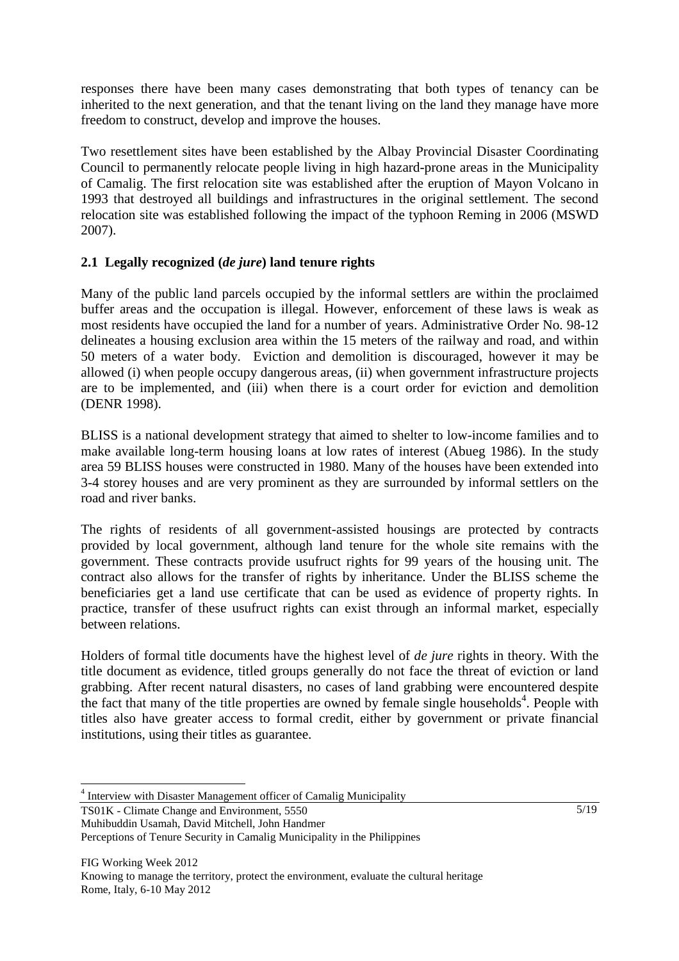responses there have been many cases demonstrating that both types of tenancy can be inherited to the next generation, and that the tenant living on the land they manage have more freedom to construct, develop and improve the houses.

Two resettlement sites have been established by the Albay Provincial Disaster Coordinating Council to permanently relocate people living in high hazard-prone areas in the Municipality of Camalig. The first relocation site was established after the eruption of Mayon Volcano in 1993 that destroyed all buildings and infrastructures in the original settlement. The second relocation site was established following the impact of the typhoon Reming in 2006 (MSWD 2007).

# **2.1 Legally recognized (***de jure***) land tenure rights**

Many of the public land parcels occupied by the informal settlers are within the proclaimed buffer areas and the occupation is illegal. However, enforcement of these laws is weak as most residents have occupied the land for a number of years. Administrative Order No. 98-12 delineates a housing exclusion area within the 15 meters of the railway and road, and within 50 meters of a water body. Eviction and demolition is discouraged, however it may be allowed (i) when people occupy dangerous areas, (ii) when government infrastructure projects are to be implemented, and (iii) when there is a court order for eviction and demolition (DENR 1998).

BLISS is a national development strategy that aimed to shelter to low-income families and to make available long-term housing loans at low rates of interest (Abueg 1986). In the study area 59 BLISS houses were constructed in 1980. Many of the houses have been extended into 3-4 storey houses and are very prominent as they are surrounded by informal settlers on the road and river banks.

The rights of residents of all government-assisted housings are protected by contracts provided by local government, although land tenure for the whole site remains with the government. These contracts provide usufruct rights for 99 years of the housing unit. The contract also allows for the transfer of rights by inheritance. Under the BLISS scheme the beneficiaries get a land use certificate that can be used as evidence of property rights. In practice, transfer of these usufruct rights can exist through an informal market, especially between relations.

Holders of formal title documents have the highest level of *de jure* rights in theory. With the title document as evidence, titled groups generally do not face the threat of eviction or land grabbing. After recent natural disasters, no cases of land grabbing were encountered despite the fact that many of the title properties are owned by female single households<sup>4</sup>. People with titles also have greater access to formal credit, either by government or private financial institutions, using their titles as guarantee.

TS01K - Climate Change and Environment, 5550 Muhibuddin Usamah, David Mitchell, John Handmer

 $\overline{a}$ 

<sup>&</sup>lt;sup>4</sup> Interview with Disaster Management officer of Camalig Municipality

Perceptions of Tenure Security in Camalig Municipality in the Philippines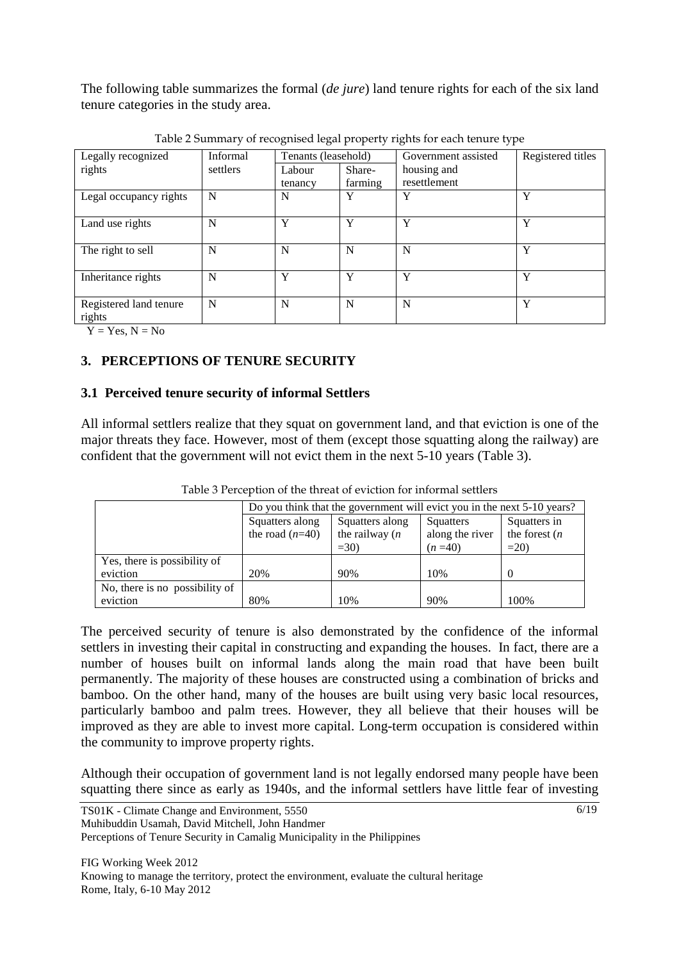The following table summarizes the formal (*de jure*) land tenure rights for each of the six land tenure categories in the study area.

|                        |          | ັ<br>$\tilde{}$     |              | ັ⊥                  |                   |
|------------------------|----------|---------------------|--------------|---------------------|-------------------|
| Legally recognized     | Informal | Tenants (leasehold) |              | Government assisted | Registered titles |
| rights                 | settlers | Labour              | Share-       | housing and         |                   |
|                        |          | tenancy             | farming      | resettlement        |                   |
| Legal occupancy rights | N        | N                   | Y            | Y                   | Y                 |
|                        |          |                     |              |                     |                   |
| Land use rights        | N        | Y                   | Y            | Y                   | Y                 |
|                        |          |                     |              |                     |                   |
| The right to sell      | N        | N                   | N            | N                   | Y                 |
|                        |          |                     |              |                     |                   |
| Inheritance rights     | N        | Y                   | $\mathbf{v}$ | Y                   | Y                 |
|                        |          |                     |              |                     |                   |
| Registered land tenure | N        | N                   | N            | N                   | Y                 |
| rights                 |          |                     |              |                     |                   |

Table 2 Summary of recognised legal property rights for each tenure type

 $Y = Yes, N = No$ 

# **3. PERCEPTIONS OF TENURE SECURITY**

# **3.1 Perceived tenure security of informal Settlers**

All informal settlers realize that they squat on government land, and that eviction is one of the major threats they face. However, most of them (except those squatting along the railway) are confident that the government will not evict them in the next 5-10 years (Table 3).

|                                | Do you think that the government will evict you in the next 5-10 years? |                   |                 |                  |  |
|--------------------------------|-------------------------------------------------------------------------|-------------------|-----------------|------------------|--|
|                                | Squatters along                                                         | Squatters along   | Squatters       | Squatters in     |  |
|                                | the road $(n=40)$                                                       | the railway $(n)$ | along the river | the forest $(n)$ |  |
|                                |                                                                         | $=30$             | $(n=40)$        | $=20$            |  |
| Yes, there is possibility of   |                                                                         |                   |                 |                  |  |
| eviction                       | 20%                                                                     | 90%               | 10%             |                  |  |
| No, there is no possibility of |                                                                         |                   |                 |                  |  |
| eviction                       | 80%                                                                     | 10%               | 90%             | 100%             |  |

Table 3 Perception of the threat of eviction for informal settlers

The perceived security of tenure is also demonstrated by the confidence of the informal settlers in investing their capital in constructing and expanding the houses. In fact, there are a number of houses built on informal lands along the main road that have been built permanently. The majority of these houses are constructed using a combination of bricks and bamboo. On the other hand, many of the houses are built using very basic local resources, particularly bamboo and palm trees. However, they all believe that their houses will be improved as they are able to invest more capital. Long-term occupation is considered within the community to improve property rights.

Although their occupation of government land is not legally endorsed many people have been squatting there since as early as 1940s, and the informal settlers have little fear of investing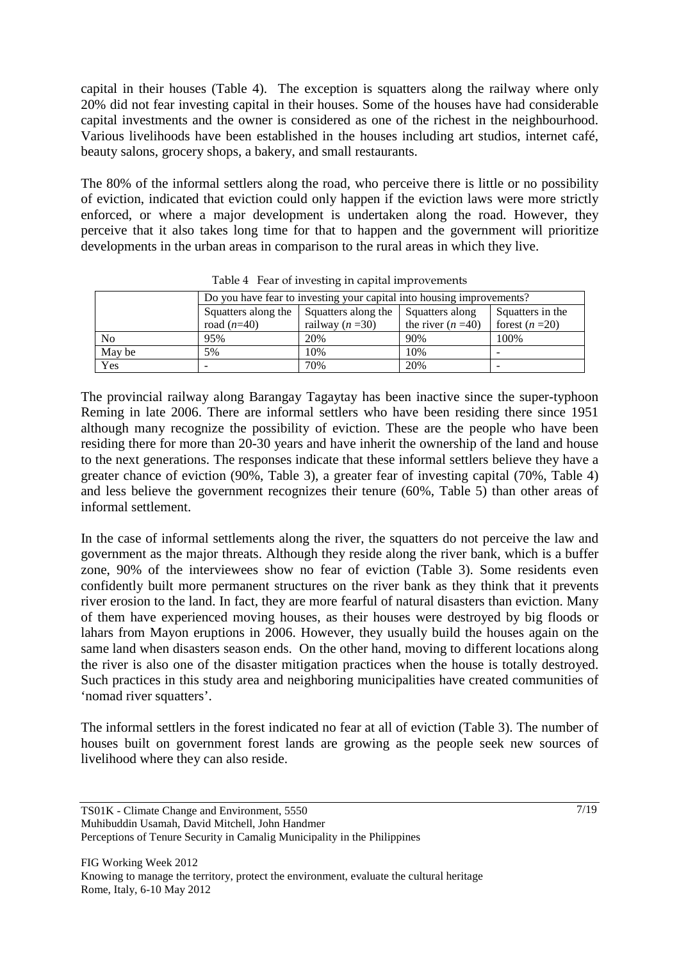capital in their houses (Table 4). The exception is squatters along the railway where only 20% did not fear investing capital in their houses. Some of the houses have had considerable capital investments and the owner is considered as one of the richest in the neighbourhood. Various livelihoods have been established in the houses including art studios, internet café, beauty salons, grocery shops, a bakery, and small restaurants.

The 80% of the informal settlers along the road, who perceive there is little or no possibility of eviction, indicated that eviction could only happen if the eviction laws were more strictly enforced, or where a major development is undertaken along the road. However, they perceive that it also takes long time for that to happen and the government will prioritize developments in the urban areas in comparison to the rural areas in which they live.

|        |                                                                                   | Do you have fear to investing your capital into housing improvements? |                    |                 |  |  |
|--------|-----------------------------------------------------------------------------------|-----------------------------------------------------------------------|--------------------|-----------------|--|--|
|        | Squatters along the<br>Squatters along the<br>Squatters in the<br>Squatters along |                                                                       |                    |                 |  |  |
|        | road $(n=40)$                                                                     | railway $(n=30)$                                                      | the river $(n=40)$ | forest $(n=20)$ |  |  |
| No.    | 95%                                                                               | 20%                                                                   | 90%                | 100%            |  |  |
| May be | 5%                                                                                | 10%                                                                   | 10%                |                 |  |  |
| Yes    |                                                                                   | 70%                                                                   | 20%                |                 |  |  |

Table 4 Fear of investing in capital improvements

The provincial railway along Barangay Tagaytay has been inactive since the super-typhoon Reming in late 2006. There are informal settlers who have been residing there since 1951 although many recognize the possibility of eviction. These are the people who have been residing there for more than 20-30 years and have inherit the ownership of the land and house to the next generations. The responses indicate that these informal settlers believe they have a greater chance of eviction (90%, Table 3), a greater fear of investing capital (70%, Table 4) and less believe the government recognizes their tenure (60%, Table 5) than other areas of informal settlement.

In the case of informal settlements along the river, the squatters do not perceive the law and government as the major threats. Although they reside along the river bank, which is a buffer zone, 90% of the interviewees show no fear of eviction (Table 3). Some residents even confidently built more permanent structures on the river bank as they think that it prevents river erosion to the land. In fact, they are more fearful of natural disasters than eviction. Many of them have experienced moving houses, as their houses were destroyed by big floods or lahars from Mayon eruptions in 2006. However, they usually build the houses again on the same land when disasters season ends. On the other hand, moving to different locations along the river is also one of the disaster mitigation practices when the house is totally destroyed. Such practices in this study area and neighboring municipalities have created communities of 'nomad river squatters'.

The informal settlers in the forest indicated no fear at all of eviction (Table 3). The number of houses built on government forest lands are growing as the people seek new sources of livelihood where they can also reside.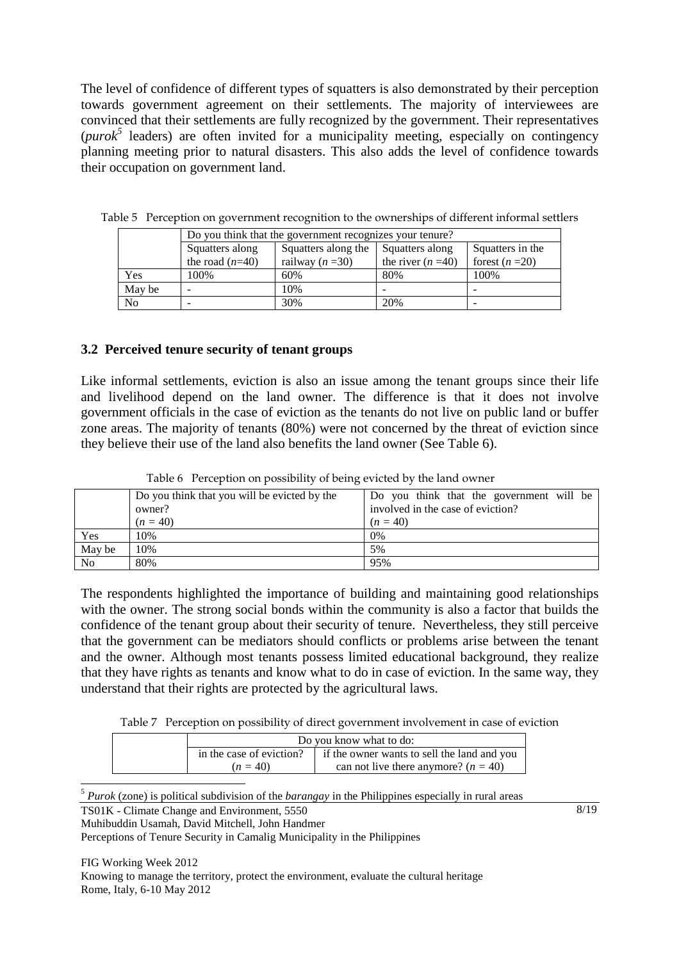The level of confidence of different types of squatters is also demonstrated by their perception towards government agreement on their settlements. The majority of interviewees are convinced that their settlements are fully recognized by the government. Their representatives (*purok<sup>5</sup>* leaders) are often invited for a municipality meeting, especially on contingency planning meeting prior to natural disasters. This also adds the level of confidence towards their occupation on government land.

|                |                                                                               | Do you think that the government recognizes your tenure? |                    |                 |  |
|----------------|-------------------------------------------------------------------------------|----------------------------------------------------------|--------------------|-----------------|--|
|                | Squatters along<br>Squatters along the<br>Squatters in the<br>Squatters along |                                                          |                    |                 |  |
|                | the road $(n=40)$                                                             | railway $(n=30)$                                         | the river $(n=40)$ | forest $(n=20)$ |  |
| Yes            | 100%                                                                          | 60%                                                      | 80%                | 100%            |  |
| May be         | -                                                                             | 10%                                                      |                    | -               |  |
| N <sub>0</sub> | -                                                                             | 30%                                                      | 20%                |                 |  |

Table 5 Perception on government recognition to the ownerships of different informal settlers

#### **3.2 Perceived tenure security of tenant groups**

Like informal settlements, eviction is also an issue among the tenant groups since their life and livelihood depend on the land owner. The difference is that it does not involve government officials in the case of eviction as the tenants do not live on public land or buffer zone areas. The majority of tenants (80%) were not concerned by the threat of eviction since they believe their use of the land also benefits the land owner (See Table 6).

|                | Do you think that you will be evicted by the | Do you think that the government will be |
|----------------|----------------------------------------------|------------------------------------------|
|                | owner?                                       | involved in the case of eviction?        |
|                | $(n = 40)$                                   | $(n = 40)$                               |
| Yes            | 10%                                          | $0\%$                                    |
| May be         | 10%                                          | 5%                                       |
| N <sub>0</sub> | 80%                                          | 95%                                      |

Table 6 Perception on possibility of being evicted by the land owner

The respondents highlighted the importance of building and maintaining good relationships with the owner. The strong social bonds within the community is also a factor that builds the confidence of the tenant group about their security of tenure. Nevertheless, they still perceive that the government can be mediators should conflicts or problems arise between the tenant and the owner. Although most tenants possess limited educational background, they realize that they have rights as tenants and know what to do in case of eviction. In the same way, they understand that their rights are protected by the agricultural laws.

Table 7 Perception on possibility of direct government involvement in case of eviction

| Do you know what to do: |                                                                                  |  |
|-------------------------|----------------------------------------------------------------------------------|--|
|                         | in the case of eviction? $\parallel$ if the owner wants to sell the land and you |  |
| $(n = 40)$              | can not live there anymore? $(n = 40)$                                           |  |

 $\overline{a}$ <sup>5</sup> *Purok* (zone) is political subdivision of the *barangay* in the Philippines especially in rural areas

TS01K - Climate Change and Environment, 5550

Muhibuddin Usamah, David Mitchell, John Handmer

Perceptions of Tenure Security in Camalig Municipality in the Philippines

FIG Working Week 2012 Knowing to manage the territory, protect the environment, evaluate the cultural heritage Rome, Italy, 6-10 May 2012

8/19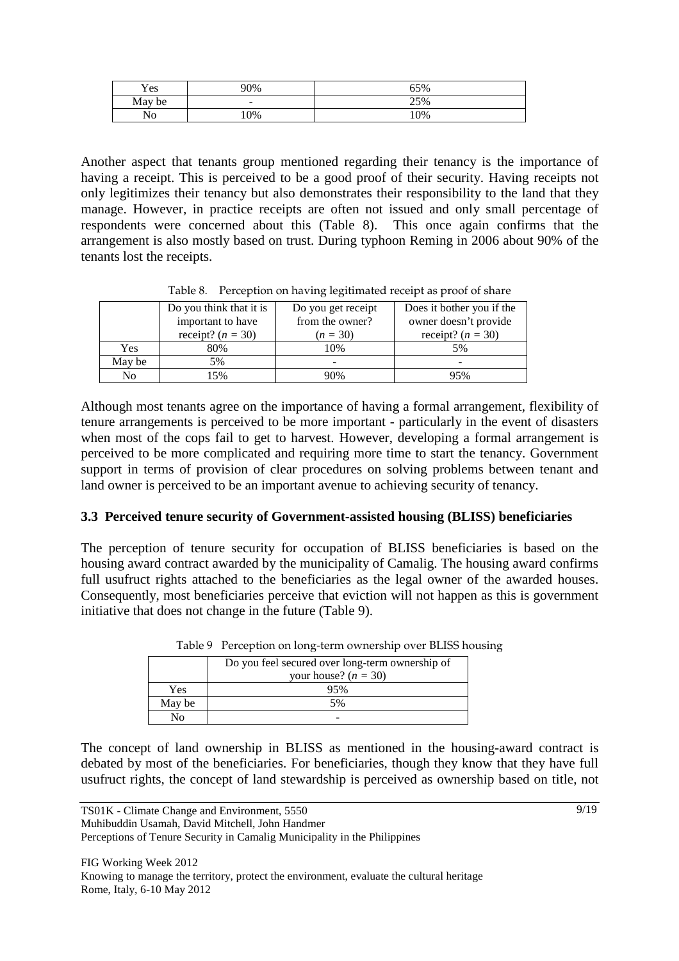| Yes    | 90% | 65% |
|--------|-----|-----|
| May be | -   | 25% |
| No     | 0%  | 10% |

Another aspect that tenants group mentioned regarding their tenancy is the importance of having a receipt. This is perceived to be a good proof of their security. Having receipts not only legitimizes their tenancy but also demonstrates their responsibility to the land that they manage. However, in practice receipts are often not issued and only small percentage of respondents were concerned about this (Table 8). This once again confirms that the arrangement is also mostly based on trust. During typhoon Reming in 2006 about 90% of the tenants lost the receipts.

|            | Do you think that it is | Do you get receipt | Does it bother you if the |
|------------|-------------------------|--------------------|---------------------------|
|            | important to have       | from the owner?    | owner doesn't provide     |
|            | receipt? $(n = 30)$     | $(n = 30)$         | receipt? $(n = 30)$       |
| <b>Yes</b> | 80%                     | 10%                | 5%                        |
| May be     | 5%                      | -                  | -                         |
| No         | 5%                      | 90%                | 95%                       |

Table 8. Perception on having legitimated receipt as proof of share

Although most tenants agree on the importance of having a formal arrangement, flexibility of tenure arrangements is perceived to be more important - particularly in the event of disasters when most of the cops fail to get to harvest. However, developing a formal arrangement is perceived to be more complicated and requiring more time to start the tenancy. Government support in terms of provision of clear procedures on solving problems between tenant and land owner is perceived to be an important avenue to achieving security of tenancy.

#### **3.3 Perceived tenure security of Government-assisted housing (BLISS) beneficiaries**

The perception of tenure security for occupation of BLISS beneficiaries is based on the housing award contract awarded by the municipality of Camalig. The housing award confirms full usufruct rights attached to the beneficiaries as the legal owner of the awarded houses. Consequently, most beneficiaries perceive that eviction will not happen as this is government initiative that does not change in the future (Table 9).

|        | Do you feel secured over long-term ownership of |
|--------|-------------------------------------------------|
|        | your house? $(n = 30)$                          |
| Yes    | 95%                                             |
| May be | 5%                                              |
|        |                                                 |

| Table 9 Perception on long-term ownership over BLISS housing |  |  |
|--------------------------------------------------------------|--|--|
|                                                              |  |  |

The concept of land ownership in BLISS as mentioned in the housing-award contract is debated by most of the beneficiaries. For beneficiaries, though they know that they have full usufruct rights, the concept of land stewardship is perceived as ownership based on title, not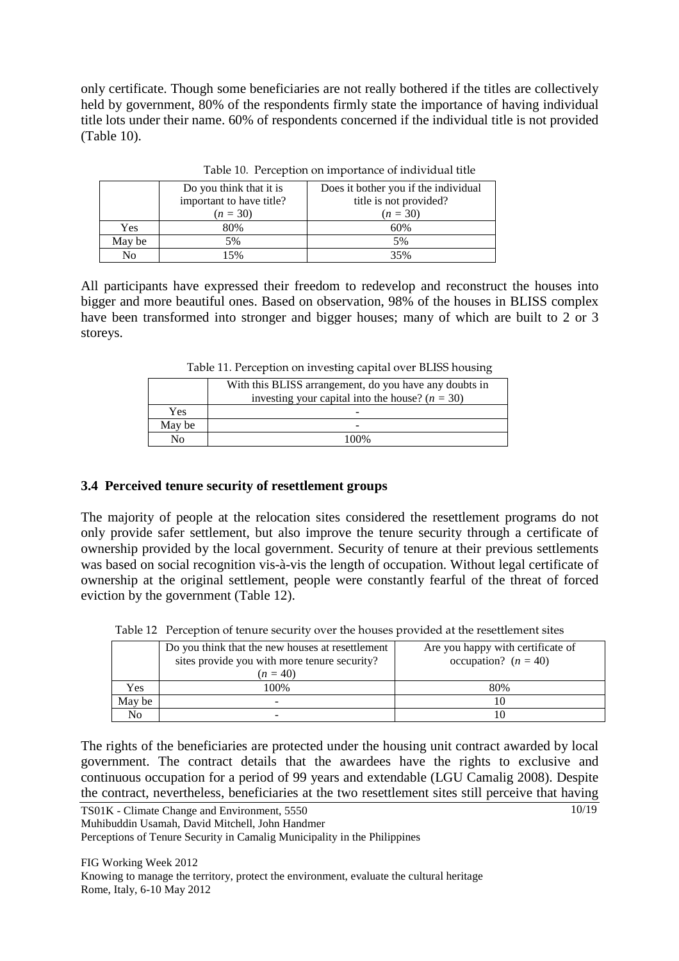only certificate. Though some beneficiaries are not really bothered if the titles are collectively held by government, 80% of the respondents firmly state the importance of having individual title lots under their name. 60% of respondents concerned if the individual title is not provided (Table 10).

|        | Do you think that it is  | Does it bother you if the individual |
|--------|--------------------------|--------------------------------------|
|        | important to have title? | title is not provided?               |
|        | $(n = 30)$               | $(n = 30)$                           |
| Yes    | 80%                      | 60%                                  |
| May be | 5%                       | 5%                                   |
| No     | 15%                      | 35%                                  |

Table 10. Perception on importance of individual title

All participants have expressed their freedom to redevelop and reconstruct the houses into bigger and more beautiful ones. Based on observation, 98% of the houses in BLISS complex have been transformed into stronger and bigger houses; many of which are built to 2 or 3 storeys.

Table 11. Perception on investing capital over BLISS housing

|        | With this BLISS arrangement, do you have any doubts in |  |  |  |  |  |
|--------|--------------------------------------------------------|--|--|--|--|--|
|        | investing your capital into the house? $(n = 30)$      |  |  |  |  |  |
| Yes    |                                                        |  |  |  |  |  |
| May be |                                                        |  |  |  |  |  |
| Nο     | 100%                                                   |  |  |  |  |  |
|        |                                                        |  |  |  |  |  |

#### **3.4 Perceived tenure security of resettlement groups**

The majority of people at the relocation sites considered the resettlement programs do not only provide safer settlement, but also improve the tenure security through a certificate of ownership provided by the local government. Security of tenure at their previous settlements was based on social recognition vis-à-vis the length of occupation. Without legal certificate of ownership at the original settlement, people were constantly fearful of the threat of forced eviction by the government (Table 12).

|        | Do you think that the new houses at resettlement | Are you happy with certificate of |  |  |  |
|--------|--------------------------------------------------|-----------------------------------|--|--|--|
|        | sites provide you with more tenure security?     | occupation? $(n = 40)$            |  |  |  |
|        | $(n = 40)$                                       |                                   |  |  |  |
| Yes    | 100%                                             | 80%                               |  |  |  |
| May be |                                                  |                                   |  |  |  |
| No     |                                                  |                                   |  |  |  |

Table 12 Perception of tenure security over the houses provided at the resettlement sites

10/19 The rights of the beneficiaries are protected under the housing unit contract awarded by local government. The contract details that the awardees have the rights to exclusive and continuous occupation for a period of 99 years and extendable (LGU Camalig 2008). Despite the contract, nevertheless, beneficiaries at the two resettlement sites still perceive that having

TS01K - Climate Change and Environment, 5550 Muhibuddin Usamah, David Mitchell, John Handmer Perceptions of Tenure Security in Camalig Municipality in the Philippines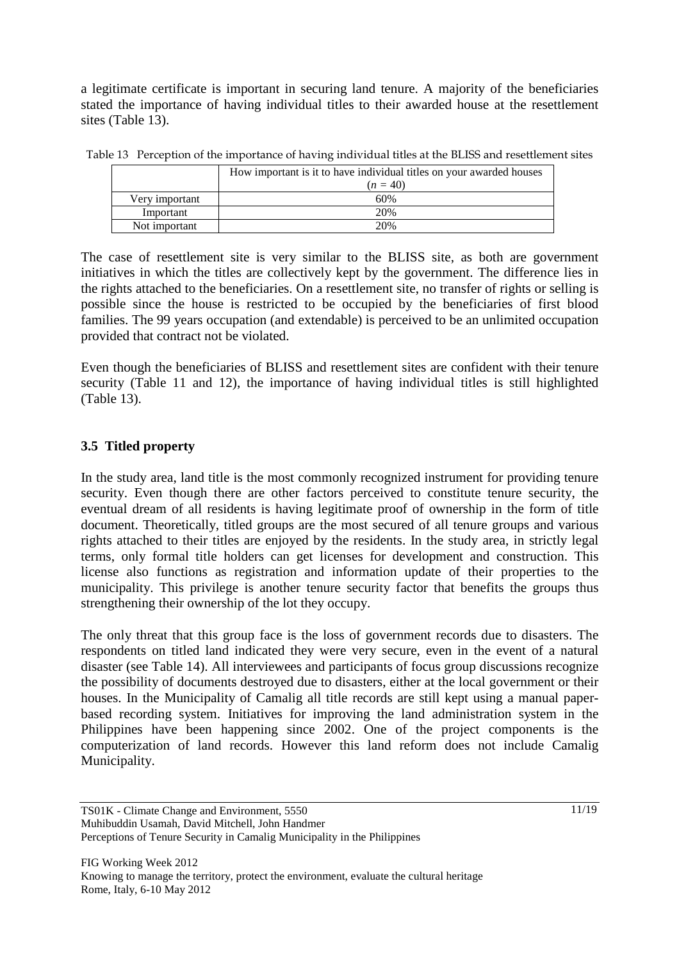a legitimate certificate is important in securing land tenure. A majority of the beneficiaries stated the importance of having individual titles to their awarded house at the resettlement sites (Table 13).

|                | How important is it to have individual titles on your awarded houses |  |  |  |  |  |
|----------------|----------------------------------------------------------------------|--|--|--|--|--|
|                | $(n = 40)$                                                           |  |  |  |  |  |
| Very important | 60%                                                                  |  |  |  |  |  |
| Important      | 20%                                                                  |  |  |  |  |  |
| Not important  | 20%                                                                  |  |  |  |  |  |

Table 13 Perception of the importance of having individual titles at the BLISS and resettlement sites

The case of resettlement site is very similar to the BLISS site, as both are government initiatives in which the titles are collectively kept by the government. The difference lies in the rights attached to the beneficiaries. On a resettlement site, no transfer of rights or selling is possible since the house is restricted to be occupied by the beneficiaries of first blood families. The 99 years occupation (and extendable) is perceived to be an unlimited occupation provided that contract not be violated.

Even though the beneficiaries of BLISS and resettlement sites are confident with their tenure security (Table 11 and 12), the importance of having individual titles is still highlighted (Table 13).

# **3.5 Titled property**

In the study area, land title is the most commonly recognized instrument for providing tenure security. Even though there are other factors perceived to constitute tenure security, the eventual dream of all residents is having legitimate proof of ownership in the form of title document. Theoretically, titled groups are the most secured of all tenure groups and various rights attached to their titles are enjoyed by the residents. In the study area, in strictly legal terms, only formal title holders can get licenses for development and construction. This license also functions as registration and information update of their properties to the municipality. This privilege is another tenure security factor that benefits the groups thus strengthening their ownership of the lot they occupy.

The only threat that this group face is the loss of government records due to disasters. The respondents on titled land indicated they were very secure, even in the event of a natural disaster (see Table 14). All interviewees and participants of focus group discussions recognize the possibility of documents destroyed due to disasters, either at the local government or their houses. In the Municipality of Camalig all title records are still kept using a manual paperbased recording system. Initiatives for improving the land administration system in the Philippines have been happening since 2002. One of the project components is the computerization of land records. However this land reform does not include Camalig Municipality.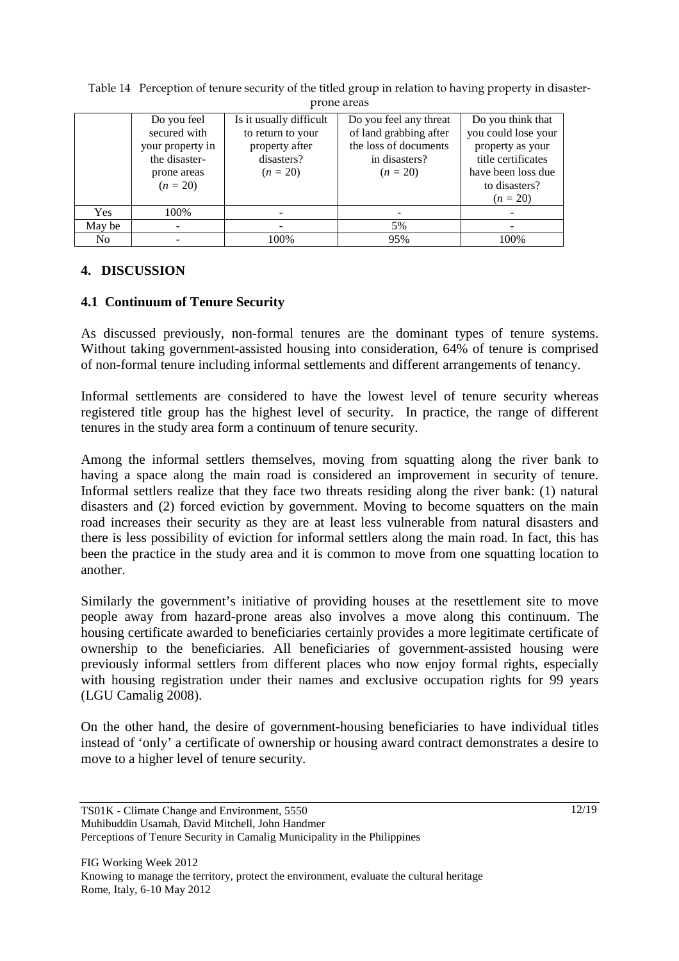| profie areas   |                                                                                               |                                                                                            |                                                                                                          |                                                                                                                                         |  |  |  |  |
|----------------|-----------------------------------------------------------------------------------------------|--------------------------------------------------------------------------------------------|----------------------------------------------------------------------------------------------------------|-----------------------------------------------------------------------------------------------------------------------------------------|--|--|--|--|
|                | Do you feel<br>secured with<br>your property in<br>the disaster-<br>prone areas<br>$(n = 20)$ | Is it usually difficult<br>to return to your<br>property after<br>disasters?<br>$(n = 20)$ | Do you feel any threat<br>of land grabbing after<br>the loss of documents<br>in disasters?<br>$(n = 20)$ | Do you think that<br>you could lose your<br>property as your<br>title certificates<br>have been loss due<br>to disasters?<br>$(n = 20)$ |  |  |  |  |
| Yes            | 100%                                                                                          |                                                                                            |                                                                                                          |                                                                                                                                         |  |  |  |  |
| May be         |                                                                                               |                                                                                            | 5%                                                                                                       |                                                                                                                                         |  |  |  |  |
| N <sub>0</sub> |                                                                                               | 100%                                                                                       | 95%                                                                                                      | 100%                                                                                                                                    |  |  |  |  |

Table 14 Perception of tenure security of the titled group in relation to having property in disasterprone areas

#### **4. DISCUSSION**

#### **4.1 Continuum of Tenure Security**

As discussed previously, non-formal tenures are the dominant types of tenure systems. Without taking government-assisted housing into consideration, 64% of tenure is comprised of non-formal tenure including informal settlements and different arrangements of tenancy.

Informal settlements are considered to have the lowest level of tenure security whereas registered title group has the highest level of security. In practice, the range of different tenures in the study area form a continuum of tenure security.

Among the informal settlers themselves, moving from squatting along the river bank to having a space along the main road is considered an improvement in security of tenure. Informal settlers realize that they face two threats residing along the river bank: (1) natural disasters and (2) forced eviction by government. Moving to become squatters on the main road increases their security as they are at least less vulnerable from natural disasters and there is less possibility of eviction for informal settlers along the main road. In fact, this has been the practice in the study area and it is common to move from one squatting location to another.

Similarly the government's initiative of providing houses at the resettlement site to move people away from hazard-prone areas also involves a move along this continuum. The housing certificate awarded to beneficiaries certainly provides a more legitimate certificate of ownership to the beneficiaries. All beneficiaries of government-assisted housing were previously informal settlers from different places who now enjoy formal rights, especially with housing registration under their names and exclusive occupation rights for 99 years (LGU Camalig 2008).

On the other hand, the desire of government-housing beneficiaries to have individual titles instead of 'only' a certificate of ownership or housing award contract demonstrates a desire to move to a higher level of tenure security.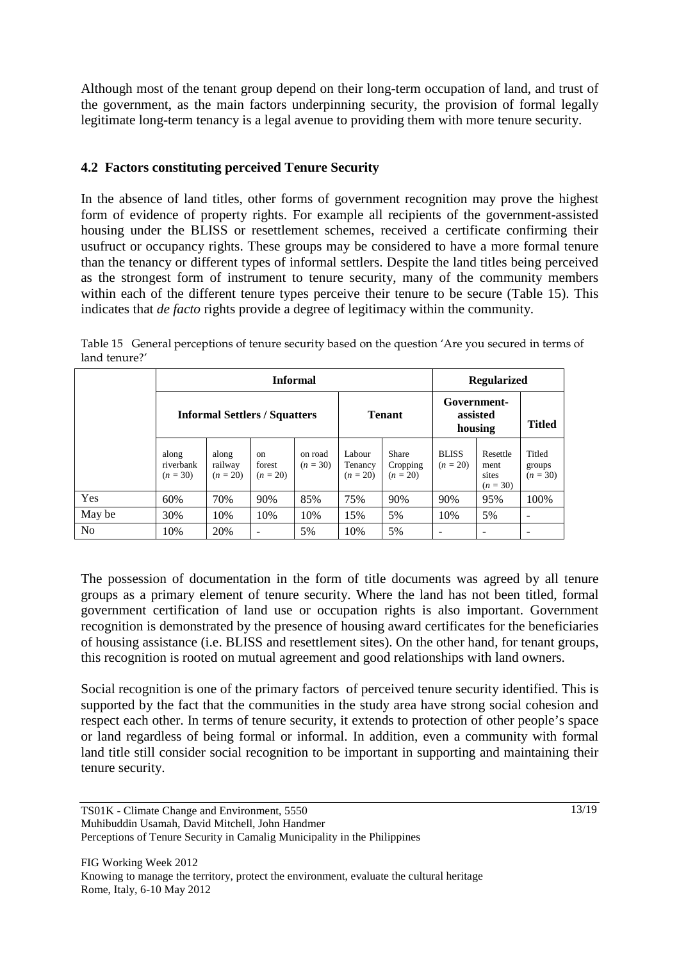Although most of the tenant group depend on their long-term occupation of land, and trust of the government, as the main factors underpinning security, the provision of formal legally legitimate long-term tenancy is a legal avenue to providing them with more tenure security.

### **4.2 Factors constituting perceived Tenure Security**

In the absence of land titles, other forms of government recognition may prove the highest form of evidence of property rights. For example all recipients of the government-assisted housing under the BLISS or resettlement schemes, received a certificate confirming their usufruct or occupancy rights. These groups may be considered to have a more formal tenure than the tenancy or different types of informal settlers. Despite the land titles being perceived as the strongest form of instrument to tenure security, many of the community members within each of the different tenure types perceive their tenure to be secure (Table 15). This indicates that *de facto* rights provide a degree of legitimacy within the community.

|                | <b>Informal</b>                      |                                |                              |                       |                                 | <b>Regularized</b>                     |                            |                                         |                                |
|----------------|--------------------------------------|--------------------------------|------------------------------|-----------------------|---------------------------------|----------------------------------------|----------------------------|-----------------------------------------|--------------------------------|
|                | <b>Informal Settlers / Squatters</b> |                                |                              | <b>Tenant</b>         |                                 | Government-<br>assisted<br>housing     |                            | <b>Titled</b>                           |                                |
|                | along<br>riverbank<br>$(n = 30)$     | along<br>railway<br>$(n = 20)$ | on<br>forest<br>$(n = 20)$   | on road<br>$(n = 30)$ | Labour<br>Tenancy<br>$(n = 20)$ | <b>Share</b><br>Cropping<br>$(n = 20)$ | <b>BLISS</b><br>$(n = 20)$ | Resettle<br>ment<br>sites<br>$(n = 30)$ | Titled<br>groups<br>$(n = 30)$ |
| Yes            | 60%                                  | 70%                            | 90%                          | 85%                   | 75%                             | 90%                                    | 90%                        | 95%                                     | 100%                           |
| May be         | 30%                                  | 10%                            | 10%                          | 10%                   | 15%                             | 5%                                     | 10%                        | 5%                                      |                                |
| N <sub>0</sub> | 10%                                  | 20%                            | $\qquad \qquad \blacksquare$ | 5%                    | 10%                             | 5%                                     | ٠                          |                                         |                                |

Table 15 General perceptions of tenure security based on the question 'Are you secured in terms of land tenure?'

The possession of documentation in the form of title documents was agreed by all tenure groups as a primary element of tenure security. Where the land has not been titled, formal government certification of land use or occupation rights is also important. Government recognition is demonstrated by the presence of housing award certificates for the beneficiaries of housing assistance (i.e. BLISS and resettlement sites). On the other hand, for tenant groups, this recognition is rooted on mutual agreement and good relationships with land owners.

Social recognition is one of the primary factors of perceived tenure security identified. This is supported by the fact that the communities in the study area have strong social cohesion and respect each other. In terms of tenure security, it extends to protection of other people's space or land regardless of being formal or informal. In addition, even a community with formal land title still consider social recognition to be important in supporting and maintaining their tenure security.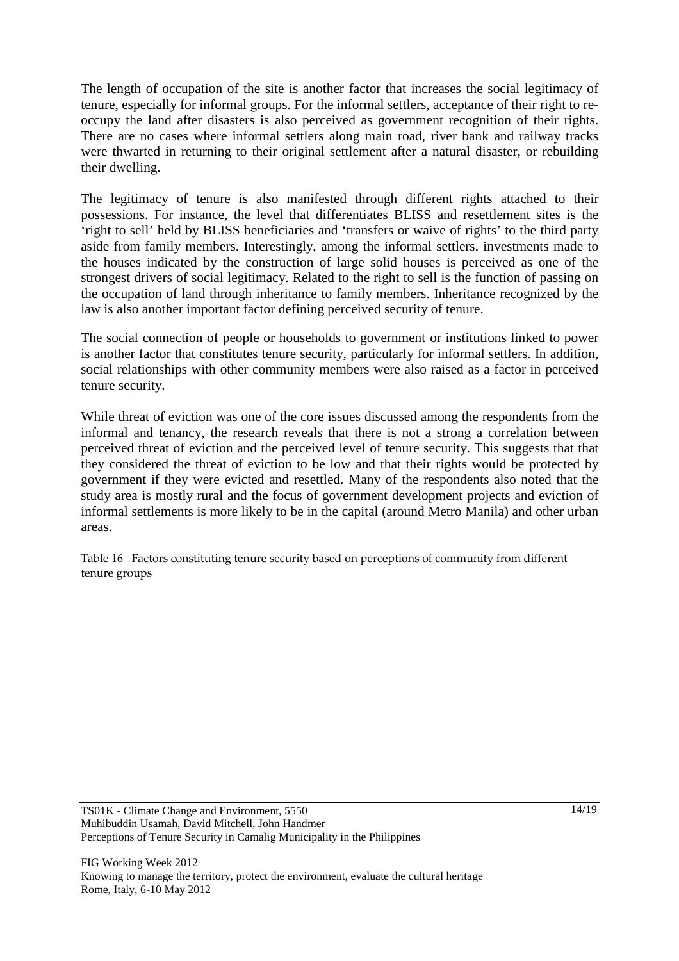The length of occupation of the site is another factor that increases the social legitimacy of tenure, especially for informal groups. For the informal settlers, acceptance of their right to reoccupy the land after disasters is also perceived as government recognition of their rights. There are no cases where informal settlers along main road, river bank and railway tracks were thwarted in returning to their original settlement after a natural disaster, or rebuilding their dwelling.

The legitimacy of tenure is also manifested through different rights attached to their possessions. For instance, the level that differentiates BLISS and resettlement sites is the 'right to sell' held by BLISS beneficiaries and 'transfers or waive of rights' to the third party aside from family members. Interestingly, among the informal settlers, investments made to the houses indicated by the construction of large solid houses is perceived as one of the strongest drivers of social legitimacy. Related to the right to sell is the function of passing on the occupation of land through inheritance to family members. Inheritance recognized by the law is also another important factor defining perceived security of tenure.

The social connection of people or households to government or institutions linked to power is another factor that constitutes tenure security, particularly for informal settlers. In addition, social relationships with other community members were also raised as a factor in perceived tenure security.

While threat of eviction was one of the core issues discussed among the respondents from the informal and tenancy, the research reveals that there is not a strong a correlation between perceived threat of eviction and the perceived level of tenure security. This suggests that that they considered the threat of eviction to be low and that their rights would be protected by government if they were evicted and resettled. Many of the respondents also noted that the study area is mostly rural and the focus of government development projects and eviction of informal settlements is more likely to be in the capital (around Metro Manila) and other urban areas.

Table 16 Factors constituting tenure security based on perceptions of community from different tenure groups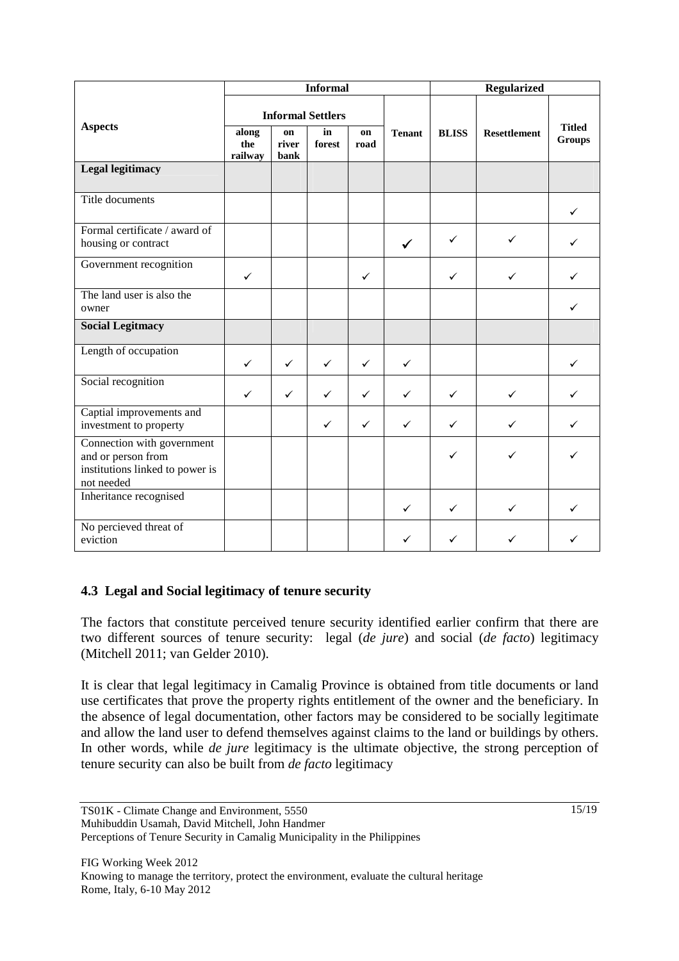|                                                                                                   | <b>Informal</b>          |                     |              |              |               | Regularized  |                     |                                |
|---------------------------------------------------------------------------------------------------|--------------------------|---------------------|--------------|--------------|---------------|--------------|---------------------|--------------------------------|
|                                                                                                   | <b>Informal Settlers</b> |                     |              |              |               |              |                     |                                |
| <b>Aspects</b>                                                                                    | along<br>the<br>railway  | on<br>river<br>bank | in<br>forest | on<br>road   | <b>Tenant</b> | <b>BLISS</b> | <b>Resettlement</b> | <b>Titled</b><br><b>Groups</b> |
| <b>Legal legitimacy</b>                                                                           |                          |                     |              |              |               |              |                     |                                |
| Title documents                                                                                   |                          |                     |              |              |               |              |                     | ✓                              |
| Formal certificate / award of<br>housing or contract                                              |                          |                     |              |              |               | ✓            | ✓                   |                                |
| Government recognition                                                                            | $\checkmark$             |                     |              | $\checkmark$ |               | $\checkmark$ | ✓                   |                                |
| The land user is also the<br>owner                                                                |                          |                     |              |              |               |              |                     | ✓                              |
| <b>Social Legitmacy</b>                                                                           |                          |                     |              |              |               |              |                     |                                |
| Length of occupation                                                                              | $\checkmark$             | $\checkmark$        | $\checkmark$ | $\checkmark$ | $\checkmark$  |              |                     | ✓                              |
| Social recognition                                                                                | $\checkmark$             | $\checkmark$        | ✓            | ✓            | ✓             | ✓            | $\checkmark$        |                                |
| Captial improvements and<br>investment to property                                                |                          |                     | ✓            | $\checkmark$ | $\checkmark$  | ✓            | $\checkmark$        |                                |
| Connection with government<br>and or person from<br>institutions linked to power is<br>not needed |                          |                     |              |              |               | ✓            | ✓                   |                                |
| Inheritance recognised                                                                            |                          |                     |              |              | $\checkmark$  | $\checkmark$ | $\checkmark$        | $\checkmark$                   |
| No percieved threat of<br>eviction                                                                |                          |                     |              |              | ✓             |              | ✓                   |                                |

#### **4.3 Legal and Social legitimacy of tenure security**

The factors that constitute perceived tenure security identified earlier confirm that there are two different sources of tenure security: legal (*de jure*) and social (*de facto*) legitimacy (Mitchell 2011; van Gelder 2010).

It is clear that legal legitimacy in Camalig Province is obtained from title documents or land use certificates that prove the property rights entitlement of the owner and the beneficiary. In the absence of legal documentation, other factors may be considered to be socially legitimate and allow the land user to defend themselves against claims to the land or buildings by others. In other words, while *de jure* legitimacy is the ultimate objective, the strong perception of tenure security can also be built from *de facto* legitimacy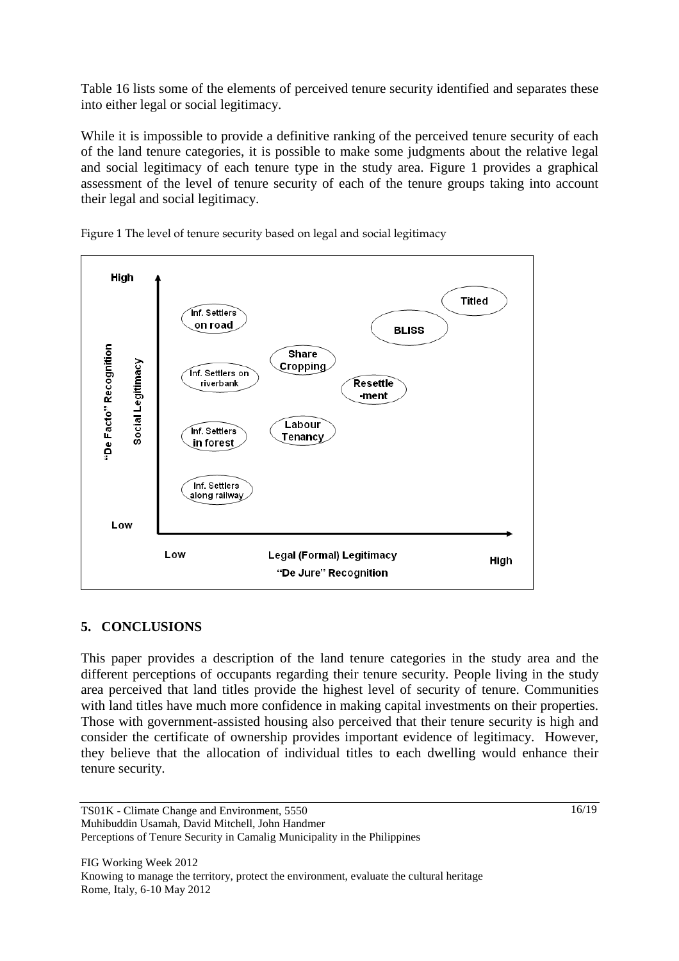Table 16 lists some of the elements of perceived tenure security identified and separates these into either legal or social legitimacy.

While it is impossible to provide a definitive ranking of the perceived tenure security of each of the land tenure categories, it is possible to make some judgments about the relative legal and social legitimacy of each tenure type in the study area. Figure 1 provides a graphical assessment of the level of tenure security of each of the tenure groups taking into account their legal and social legitimacy.



Figure 1 The level of tenure security based on legal and social legitimacy

#### **5. CONCLUSIONS**

This paper provides a description of the land tenure categories in the study area and the different perceptions of occupants regarding their tenure security. People living in the study area perceived that land titles provide the highest level of security of tenure. Communities with land titles have much more confidence in making capital investments on their properties. Those with government-assisted housing also perceived that their tenure security is high and consider the certificate of ownership provides important evidence of legitimacy. However, they believe that the allocation of individual titles to each dwelling would enhance their tenure security.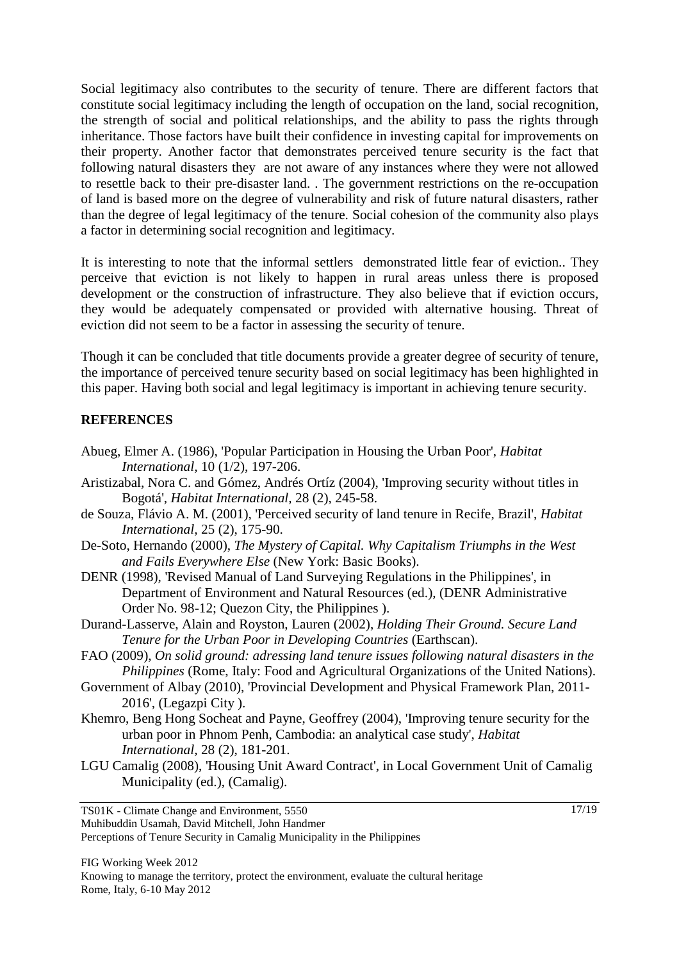Social legitimacy also contributes to the security of tenure. There are different factors that constitute social legitimacy including the length of occupation on the land, social recognition, the strength of social and political relationships, and the ability to pass the rights through inheritance. Those factors have built their confidence in investing capital for improvements on their property. Another factor that demonstrates perceived tenure security is the fact that following natural disasters they are not aware of any instances where they were not allowed to resettle back to their pre-disaster land. . The government restrictions on the re-occupation of land is based more on the degree of vulnerability and risk of future natural disasters, rather than the degree of legal legitimacy of the tenure. Social cohesion of the community also plays a factor in determining social recognition and legitimacy.

It is interesting to note that the informal settlers demonstrated little fear of eviction.. They perceive that eviction is not likely to happen in rural areas unless there is proposed development or the construction of infrastructure. They also believe that if eviction occurs, they would be adequately compensated or provided with alternative housing. Threat of eviction did not seem to be a factor in assessing the security of tenure.

Though it can be concluded that title documents provide a greater degree of security of tenure, the importance of perceived tenure security based on social legitimacy has been highlighted in this paper. Having both social and legal legitimacy is important in achieving tenure security.

#### **REFERENCES**

- Abueg, Elmer A. (1986), 'Popular Participation in Housing the Urban Poor', *Habitat International,* 10 (1/2), 197-206.
- Aristizabal, Nora C. and Gómez, Andrés Ortíz (2004), 'Improving security without titles in Bogotá', *Habitat International,* 28 (2), 245-58.
- de Souza, Flávio A. M. (2001), 'Perceived security of land tenure in Recife, Brazil', *Habitat International,* 25 (2), 175-90.
- De-Soto, Hernando (2000), *The Mystery of Capital. Why Capitalism Triumphs in the West and Fails Everywhere Else* (New York: Basic Books).
- DENR (1998), 'Revised Manual of Land Surveying Regulations in the Philippines', in Department of Environment and Natural Resources (ed.), (DENR Administrative Order No. 98-12; Quezon City, the Philippines ).
- Durand-Lasserve, Alain and Royston, Lauren (2002), *Holding Their Ground. Secure Land Tenure for the Urban Poor in Developing Countries* (Earthscan).
- FAO (2009), *On solid ground: adressing land tenure issues following natural disasters in the Philippines* (Rome, Italy: Food and Agricultural Organizations of the United Nations).
- Government of Albay (2010), 'Provincial Development and Physical Framework Plan, 2011- 2016', (Legazpi City ).
- Khemro, Beng Hong Socheat and Payne, Geoffrey (2004), 'Improving tenure security for the urban poor in Phnom Penh, Cambodia: an analytical case study', *Habitat International,* 28 (2), 181-201.
- LGU Camalig (2008), 'Housing Unit Award Contract', in Local Government Unit of Camalig Municipality (ed.), (Camalig).

TS01K - Climate Change and Environment, 5550 Muhibuddin Usamah, David Mitchell, John Handmer Perceptions of Tenure Security in Camalig Municipality in the Philippines 17/19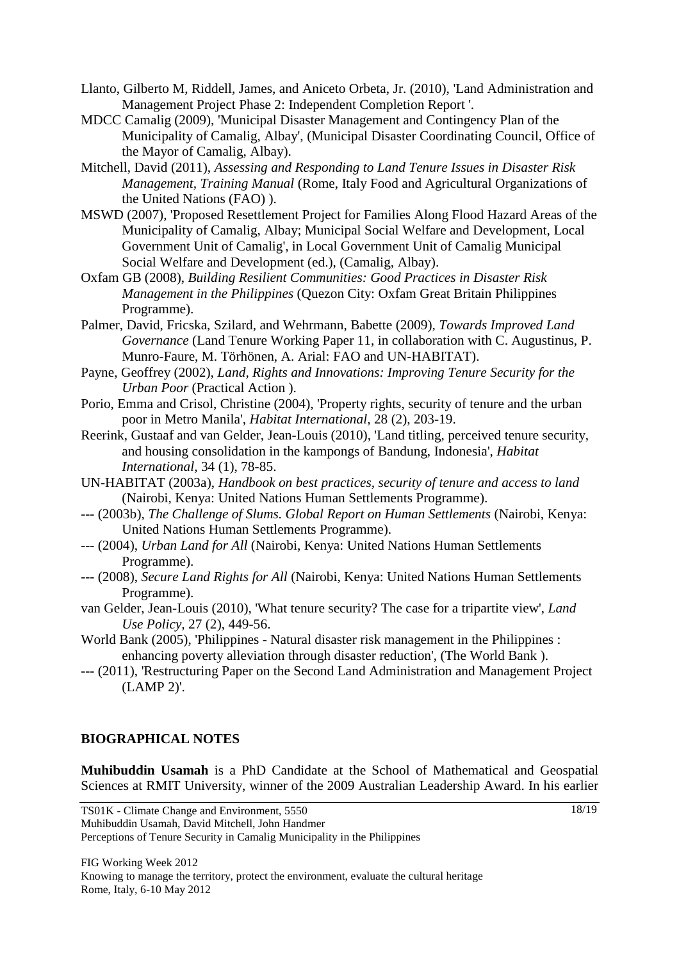- Llanto, Gilberto M, Riddell, James, and Aniceto Orbeta, Jr. (2010), 'Land Administration and Management Project Phase 2: Independent Completion Report '.
- MDCC Camalig (2009), 'Municipal Disaster Management and Contingency Plan of the Municipality of Camalig, Albay', (Municipal Disaster Coordinating Council, Office of the Mayor of Camalig, Albay).
- Mitchell, David (2011), *Assessing and Responding to Land Tenure Issues in Disaster Risk Management, Training Manual* (Rome, Italy Food and Agricultural Organizations of the United Nations (FAO) ).
- MSWD (2007), 'Proposed Resettlement Project for Families Along Flood Hazard Areas of the Municipality of Camalig, Albay; Municipal Social Welfare and Development, Local Government Unit of Camalig', in Local Government Unit of Camalig Municipal Social Welfare and Development (ed.), (Camalig, Albay).
- Oxfam GB (2008), *Building Resilient Communities: Good Practices in Disaster Risk Management in the Philippines* (Quezon City: Oxfam Great Britain Philippines Programme).
- Palmer, David, Fricska, Szilard, and Wehrmann, Babette (2009), *Towards Improved Land Governance* (Land Tenure Working Paper 11, in collaboration with C. Augustinus, P. Munro-Faure, M. Törhönen, A. Arial: FAO and UN-HABITAT).
- Payne, Geoffrey (2002), *Land, Rights and Innovations: Improving Tenure Security for the Urban Poor* (Practical Action ).
- Porio, Emma and Crisol, Christine (2004), 'Property rights, security of tenure and the urban poor in Metro Manila', *Habitat International,* 28 (2), 203-19.
- Reerink, Gustaaf and van Gelder, Jean-Louis (2010), 'Land titling, perceived tenure security, and housing consolidation in the kampongs of Bandung, Indonesia', *Habitat International,* 34 (1), 78-85.
- UN-HABITAT (2003a), *Handbook on best practices, security of tenure and access to land* (Nairobi, Kenya: United Nations Human Settlements Programme).
- --- (2003b), *The Challenge of Slums. Global Report on Human Settlements* (Nairobi, Kenya: United Nations Human Settlements Programme).
- --- (2004), *Urban Land for All* (Nairobi, Kenya: United Nations Human Settlements Programme).
- --- (2008), *Secure Land Rights for All* (Nairobi, Kenya: United Nations Human Settlements Programme).
- van Gelder, Jean-Louis (2010), 'What tenure security? The case for a tripartite view', *Land Use Policy,* 27 (2), 449-56.
- World Bank (2005), 'Philippines Natural disaster risk management in the Philippines : enhancing poverty alleviation through disaster reduction', (The World Bank ).
- --- (2011), 'Restructuring Paper on the Second Land Administration and Management Project (LAMP 2)'.

#### **BIOGRAPHICAL NOTES**

**Muhibuddin Usamah** is a PhD Candidate at the School of Mathematical and Geospatial Sciences at RMIT University, winner of the 2009 Australian Leadership Award. In his earlier